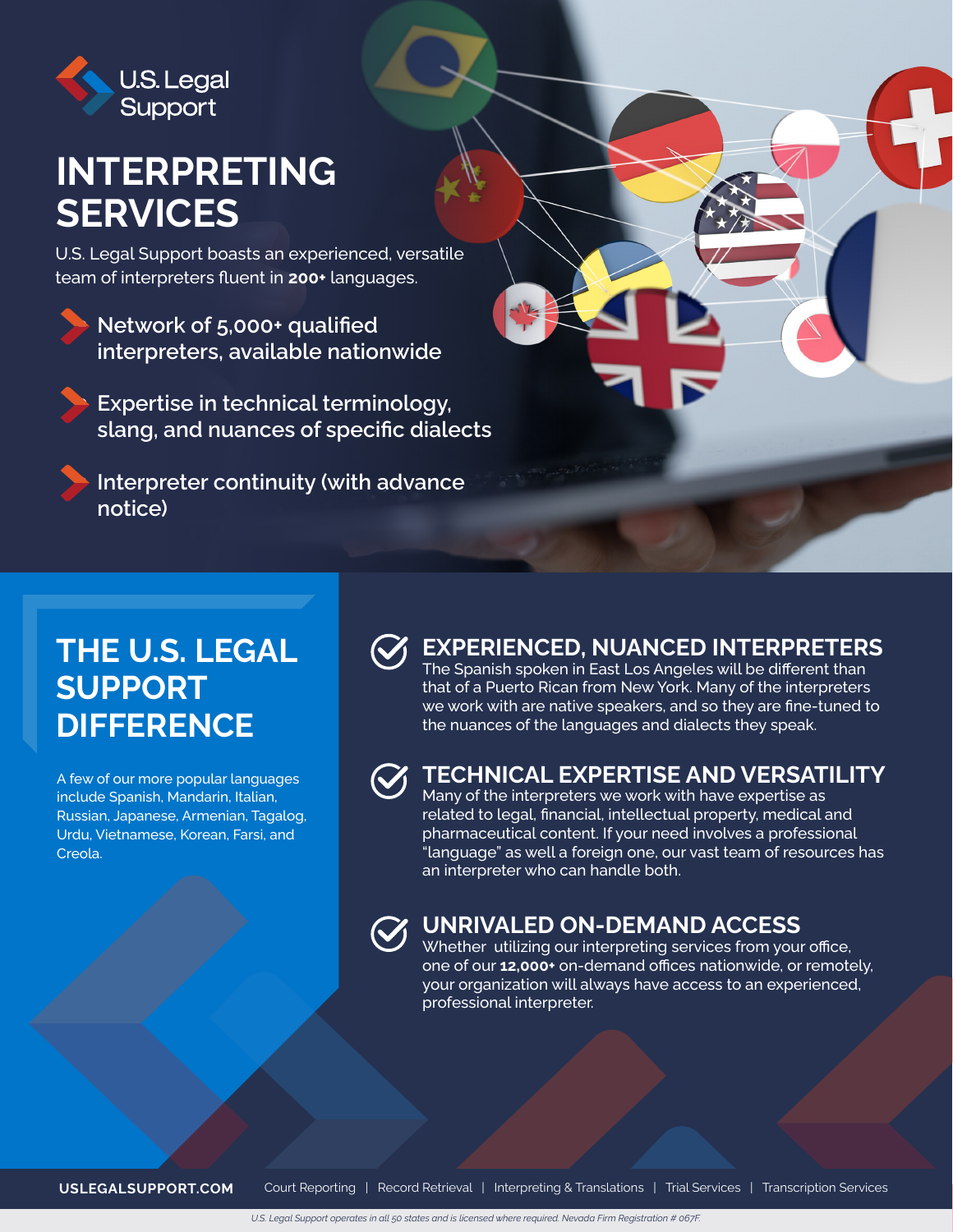

# **INTERPRETING SERVICES**

U.S. Legal Support boasts an experienced, versatile team of interpreters fluent in **200+** languages.

Network of 5,000+ qualified **interpreters, available nationwide**

y **Expertise in technical terminology, slang, and nuances of specific dialects**

**Interpreter continuity (with advance notice)**

## **THE U.S. LEGAL SUPPORT DIFFERENCE**

A few of our more popular languages include Spanish, Mandarin, Italian, Russian, Japanese, Armenian, Tagalog, Urdu, Vietnamese, Korean, Farsi, and Creola.

### **EXPERIENCED, NUANCED INTERPRETERS**

The Spanish spoken in East Los Angeles will be different than that of a Puerto Rican from New York. Many of the interpreters we work with are native speakers, and so they are fine-tuned to the nuances of the languages and dialects they speak.



#### **TECHNICAL EXPERTISE AND VERSATILITY**

Many of the interpreters we work with have expertise as related to legal, financial, intellectual property, medical and pharmaceutical content. If your need involves a professional "language" as well a foreign one, our vast team of resources has an interpreter who can handle both.



#### **UNRIVALED ON-DEMAND ACCESS**

Whether utilizing our interpreting services from your office, one of our **12,000+** on-demand offices nationwide, or remotely, your organization will always have access to an experienced, professional interpreter.